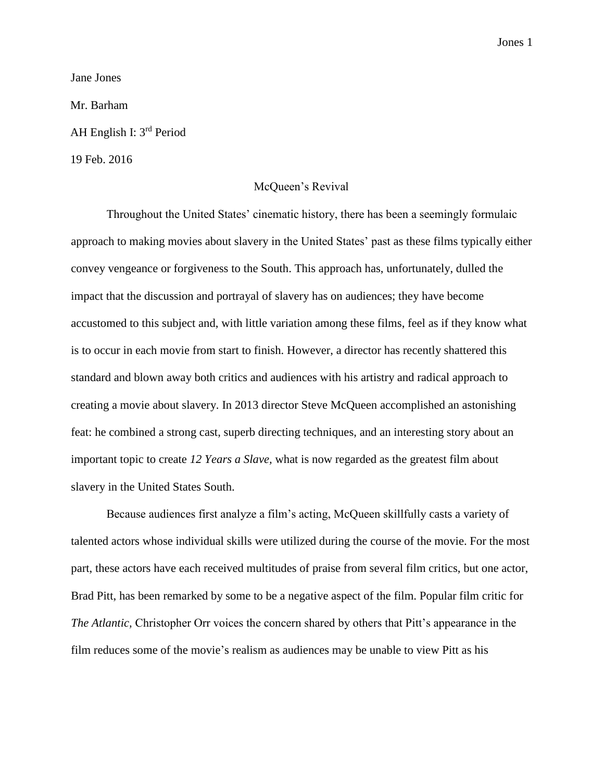Jones 1

Jane Jones

Mr. Barham

AH English I: 3<sup>rd</sup> Period

19 Feb. 2016

## McQueen's Revival

Throughout the United States' cinematic history, there has been a seemingly formulaic approach to making movies about slavery in the United States' past as these films typically either convey vengeance or forgiveness to the South. This approach has, unfortunately, dulled the impact that the discussion and portrayal of slavery has on audiences; they have become accustomed to this subject and, with little variation among these films, feel as if they know what is to occur in each movie from start to finish. However, a director has recently shattered this standard and blown away both critics and audiences with his artistry and radical approach to creating a movie about slavery. In 2013 director Steve McQueen accomplished an astonishing feat: he combined a strong cast, superb directing techniques, and an interesting story about an important topic to create *12 Years a Slave,* what is now regarded as the greatest film about slavery in the United States South.

Because audiences first analyze a film's acting, McQueen skillfully casts a variety of talented actors whose individual skills were utilized during the course of the movie. For the most part, these actors have each received multitudes of praise from several film critics, but one actor, Brad Pitt, has been remarked by some to be a negative aspect of the film. Popular film critic for *The Atlantic,* Christopher Orr voices the concern shared by others that Pitt's appearance in the film reduces some of the movie's realism as audiences may be unable to view Pitt as his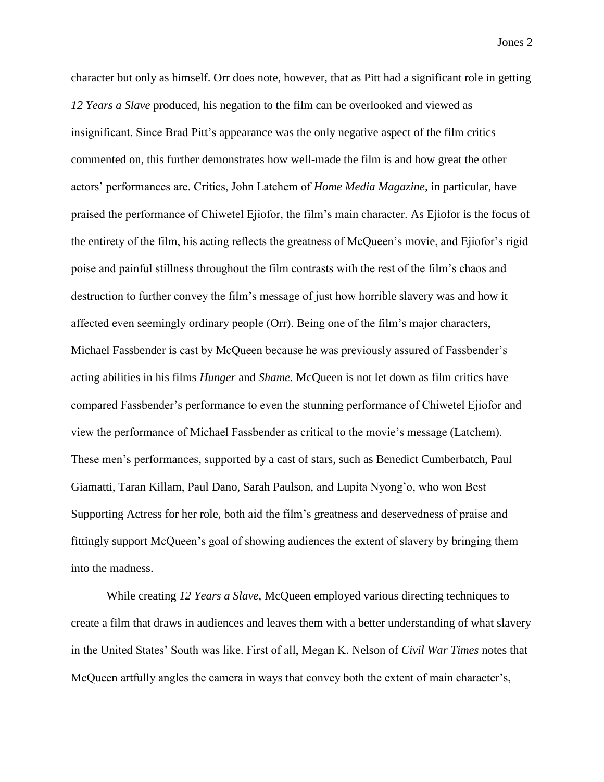character but only as himself. Orr does note, however, that as Pitt had a significant role in getting *12 Years a Slave* produced, his negation to the film can be overlooked and viewed as insignificant. Since Brad Pitt's appearance was the only negative aspect of the film critics commented on, this further demonstrates how well-made the film is and how great the other actors' performances are. Critics, John Latchem of *Home Media Magazine*, in particular, have praised the performance of Chiwetel Ejiofor, the film's main character. As Ejiofor is the focus of the entirety of the film, his acting reflects the greatness of McQueen's movie, and Ejiofor's rigid poise and painful stillness throughout the film contrasts with the rest of the film's chaos and destruction to further convey the film's message of just how horrible slavery was and how it affected even seemingly ordinary people (Orr). Being one of the film's major characters, Michael Fassbender is cast by McQueen because he was previously assured of Fassbender's acting abilities in his films *Hunger* and *Shame.* McQueen is not let down as film critics have compared Fassbender's performance to even the stunning performance of Chiwetel Ejiofor and view the performance of Michael Fassbender as critical to the movie's message (Latchem). These men's performances, supported by a cast of stars, such as Benedict Cumberbatch, Paul Giamatti, Taran Killam, Paul Dano, Sarah Paulson, and Lupita Nyong'o, who won Best Supporting Actress for her role, both aid the film's greatness and deservedness of praise and fittingly support McQueen's goal of showing audiences the extent of slavery by bringing them into the madness.

While creating *12 Years a Slave,* McQueen employed various directing techniques to create a film that draws in audiences and leaves them with a better understanding of what slavery in the United States' South was like. First of all, Megan K. Nelson of *Civil War Times* notes that McQueen artfully angles the camera in ways that convey both the extent of main character's,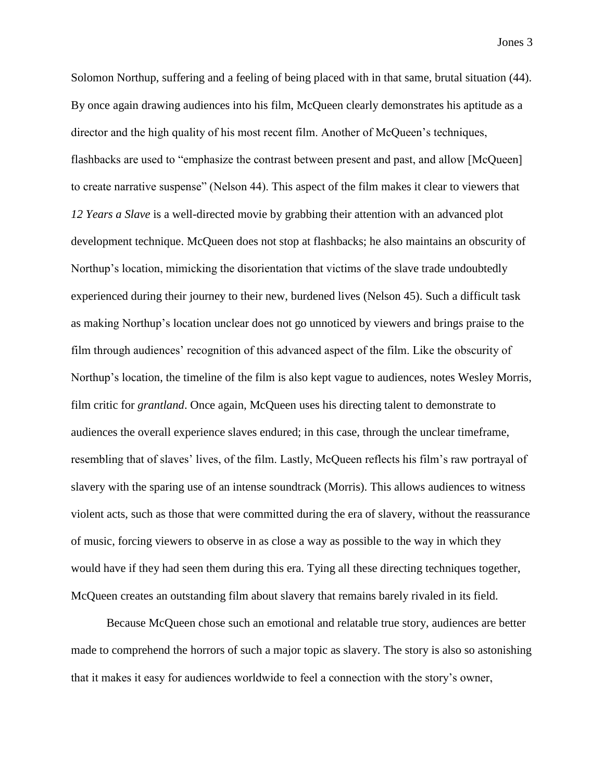Solomon Northup, suffering and a feeling of being placed with in that same, brutal situation (44). By once again drawing audiences into his film, McQueen clearly demonstrates his aptitude as a director and the high quality of his most recent film. Another of McQueen's techniques, flashbacks are used to "emphasize the contrast between present and past, and allow [McQueen] to create narrative suspense" (Nelson 44). This aspect of the film makes it clear to viewers that *12 Years a Slave* is a well-directed movie by grabbing their attention with an advanced plot development technique. McQueen does not stop at flashbacks; he also maintains an obscurity of Northup's location, mimicking the disorientation that victims of the slave trade undoubtedly experienced during their journey to their new, burdened lives (Nelson 45). Such a difficult task as making Northup's location unclear does not go unnoticed by viewers and brings praise to the film through audiences' recognition of this advanced aspect of the film. Like the obscurity of Northup's location, the timeline of the film is also kept vague to audiences, notes Wesley Morris, film critic for *grantland*. Once again, McQueen uses his directing talent to demonstrate to audiences the overall experience slaves endured; in this case, through the unclear timeframe, resembling that of slaves' lives, of the film. Lastly, McQueen reflects his film's raw portrayal of slavery with the sparing use of an intense soundtrack (Morris). This allows audiences to witness violent acts, such as those that were committed during the era of slavery, without the reassurance of music, forcing viewers to observe in as close a way as possible to the way in which they would have if they had seen them during this era. Tying all these directing techniques together, McQueen creates an outstanding film about slavery that remains barely rivaled in its field.

Because McQueen chose such an emotional and relatable true story, audiences are better made to comprehend the horrors of such a major topic as slavery. The story is also so astonishing that it makes it easy for audiences worldwide to feel a connection with the story's owner,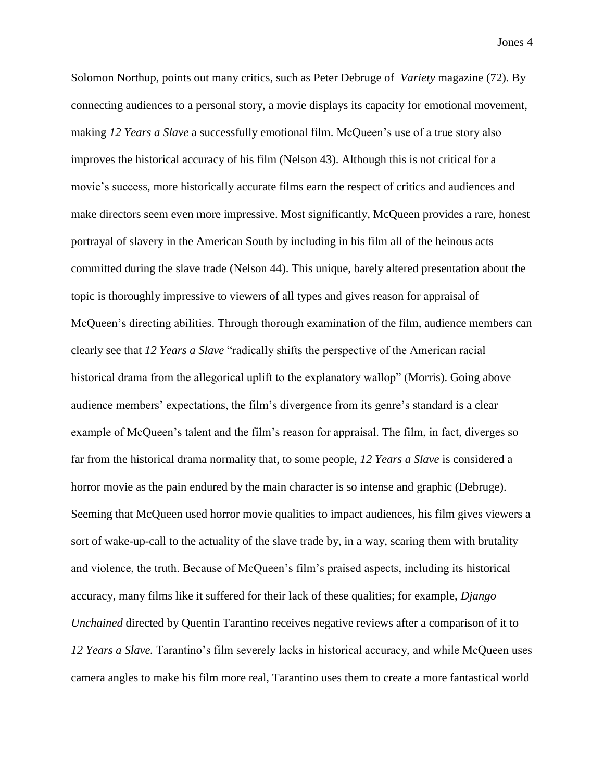Solomon Northup, points out many critics, such as Peter Debruge of *Variety* magazine (72). By connecting audiences to a personal story, a movie displays its capacity for emotional movement, making *12 Years a Slave* a successfully emotional film. McQueen's use of a true story also improves the historical accuracy of his film (Nelson 43). Although this is not critical for a movie's success, more historically accurate films earn the respect of critics and audiences and make directors seem even more impressive. Most significantly, McQueen provides a rare, honest portrayal of slavery in the American South by including in his film all of the heinous acts committed during the slave trade (Nelson 44). This unique, barely altered presentation about the topic is thoroughly impressive to viewers of all types and gives reason for appraisal of McQueen's directing abilities. Through thorough examination of the film, audience members can clearly see that *12 Years a Slave* "radically shifts the perspective of the American racial historical drama from the allegorical uplift to the explanatory wallop" (Morris). Going above audience members' expectations, the film's divergence from its genre's standard is a clear example of McQueen's talent and the film's reason for appraisal. The film, in fact, diverges so far from the historical drama normality that, to some people, *12 Years a Slave* is considered a horror movie as the pain endured by the main character is so intense and graphic (Debruge). Seeming that McQueen used horror movie qualities to impact audiences, his film gives viewers a sort of wake-up-call to the actuality of the slave trade by, in a way, scaring them with brutality and violence, the truth. Because of McQueen's film's praised aspects, including its historical accuracy, many films like it suffered for their lack of these qualities; for example, *Django Unchained* directed by Quentin Tarantino receives negative reviews after a comparison of it to *12 Years a Slave.* Tarantino's film severely lacks in historical accuracy, and while McQueen uses camera angles to make his film more real, Tarantino uses them to create a more fantastical world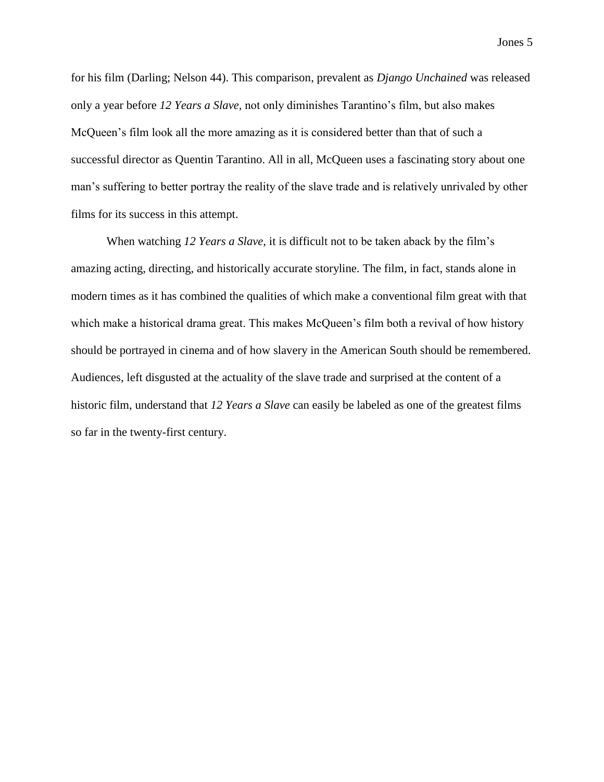Jones 5

for his film (Darling; Nelson 44). This comparison, prevalent as *Django Unchained* was released only a year before *12 Years a Slave,* not only diminishes Tarantino's film, but also makes McQueen's film look all the more amazing as it is considered better than that of such a successful director as Quentin Tarantino. All in all, McQueen uses a fascinating story about one man's suffering to better portray the reality of the slave trade and is relatively unrivaled by other films for its success in this attempt.

When watching *12 Years a Slave,* it is difficult not to be taken aback by the film's amazing acting, directing, and historically accurate storyline. The film, in fact, stands alone in modern times as it has combined the qualities of which make a conventional film great with that which make a historical drama great. This makes McQueen's film both a revival of how history should be portrayed in cinema and of how slavery in the American South should be remembered. Audiences, left disgusted at the actuality of the slave trade and surprised at the content of a historic film, understand that *12 Years a Slave* can easily be labeled as one of the greatest films so far in the twenty-first century.